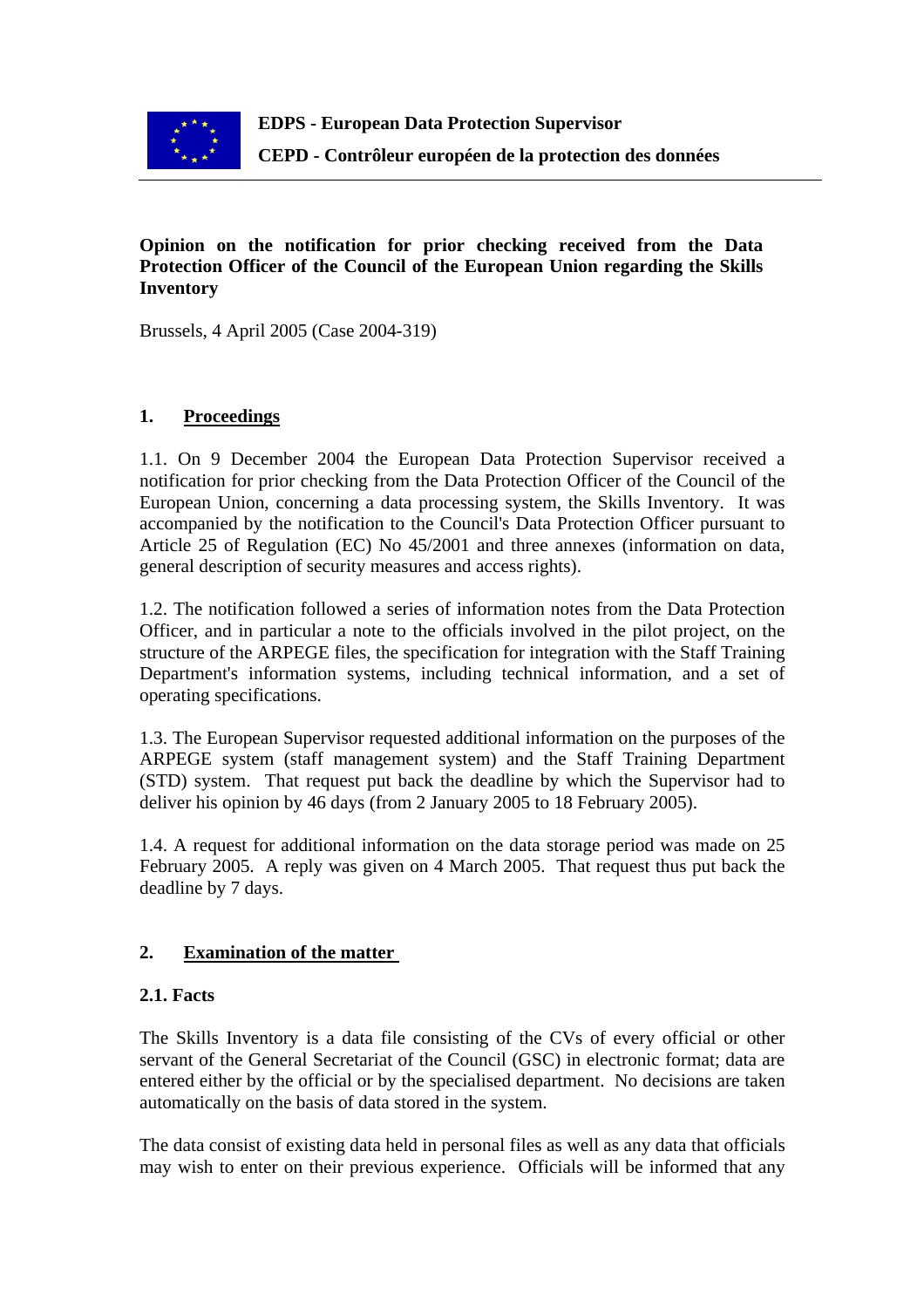

## **Opinion on the notification for prior checking received from the Data Protection Officer of the Council of the European Union regarding the Skills Inventory**

Brussels, 4 April 2005 (Case 2004-319)

# **1. Proceedings**

1.1. On 9 December 2004 the European Data Protection Supervisor received a notification for prior checking from the Data Protection Officer of the Council of the European Union, concerning a data processing system, the Skills Inventory. It was accompanied by the notification to the Council's Data Protection Officer pursuant to Article 25 of Regulation (EC) No 45/2001 and three annexes (information on data, general description of security measures and access rights).

1.2. The notification followed a series of information notes from the Data Protection Officer, and in particular a note to the officials involved in the pilot project, on the structure of the ARPEGE files, the specification for integration with the Staff Training Department's information systems, including technical information, and a set of operating specifications.

1.3. The European Supervisor requested additional information on the purposes of the ARPEGE system (staff management system) and the Staff Training Department (STD) system. That request put back the deadline by which the Supervisor had to deliver his opinion by 46 days (from 2 January 2005 to 18 February 2005).

1.4. A request for additional information on the data storage period was made on 25 February 2005. A reply was given on 4 March 2005. That request thus put back the deadline by 7 days.

## **2. Examination of the matter**

## **2.1. Facts**

The Skills Inventory is a data file consisting of the CVs of every official or other servant of the General Secretariat of the Council (GSC) in electronic format; data are entered either by the official or by the specialised department. No decisions are taken automatically on the basis of data stored in the system.

The data consist of existing data held in personal files as well as any data that officials may wish to enter on their previous experience. Officials will be informed that any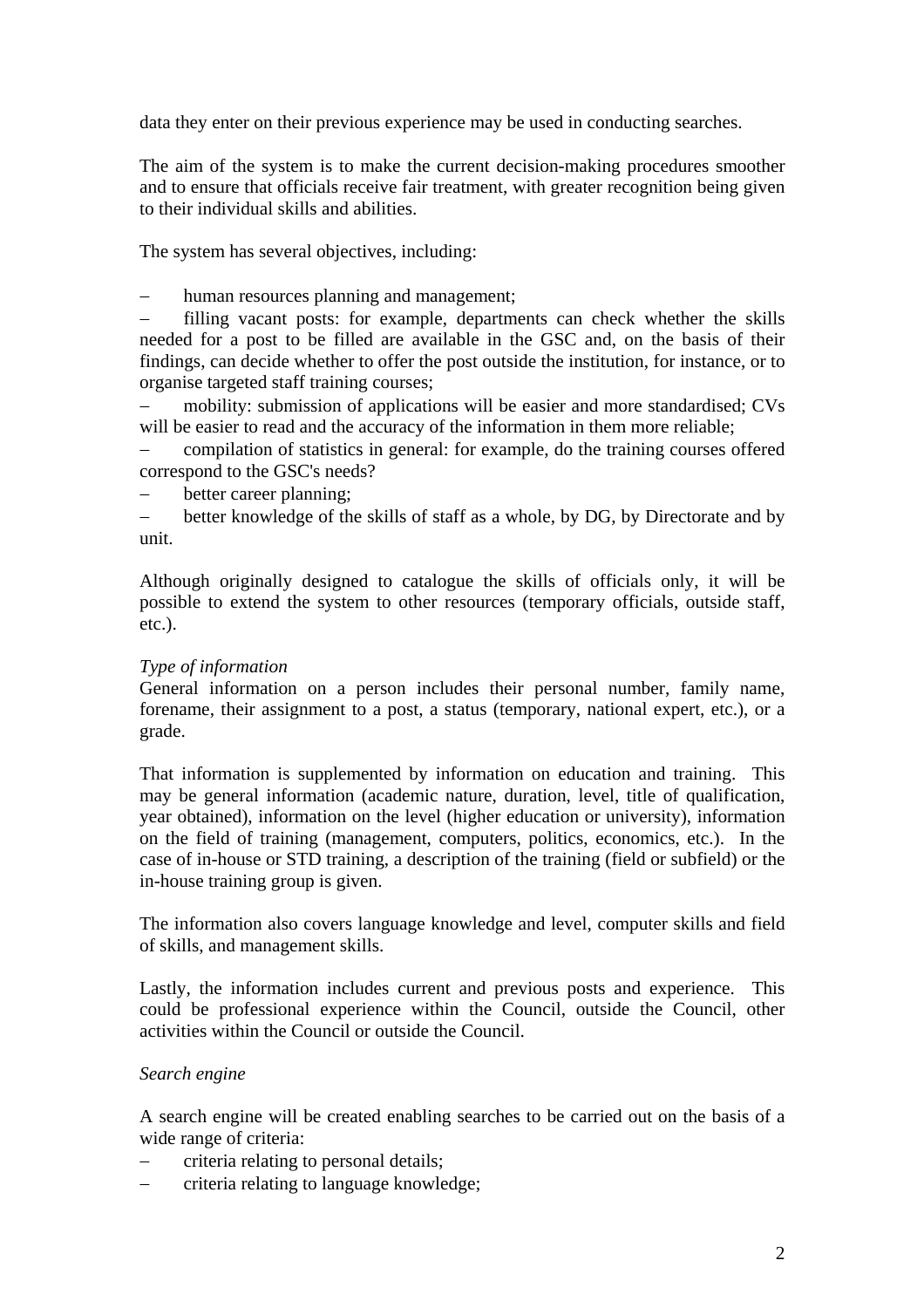data they enter on their previous experience may be used in conducting searches.

The aim of the system is to make the current decision-making procedures smoother and to ensure that officials receive fair treatment, with greater recognition being given to their individual skills and abilities.

The system has several objectives, including:

human resources planning and management;

− filling vacant posts: for example, departments can check whether the skills needed for a post to be filled are available in the GSC and, on the basis of their findings, can decide whether to offer the post outside the institution, for instance, or to organise targeted staff training courses;

− mobility: submission of applications will be easier and more standardised; CVs will be easier to read and the accuracy of the information in them more reliable;

− compilation of statistics in general: for example, do the training courses offered correspond to the GSC's needs?

− better career planning;

− better knowledge of the skills of staff as a whole, by DG, by Directorate and by unit.

Although originally designed to catalogue the skills of officials only, it will be possible to extend the system to other resources (temporary officials, outside staff, etc.).

### *Type of information*

General information on a person includes their personal number, family name, forename, their assignment to a post, a status (temporary, national expert, etc.), or a grade.

That information is supplemented by information on education and training. This may be general information (academic nature, duration, level, title of qualification, year obtained), information on the level (higher education or university), information on the field of training (management, computers, politics, economics, etc.). In the case of in-house or STD training, a description of the training (field or subfield) or the in-house training group is given.

The information also covers language knowledge and level, computer skills and field of skills, and management skills.

Lastly, the information includes current and previous posts and experience. This could be professional experience within the Council, outside the Council, other activities within the Council or outside the Council.

### *Search engine*

A search engine will be created enabling searches to be carried out on the basis of a wide range of criteria:

- − criteria relating to personal details;
- − criteria relating to language knowledge;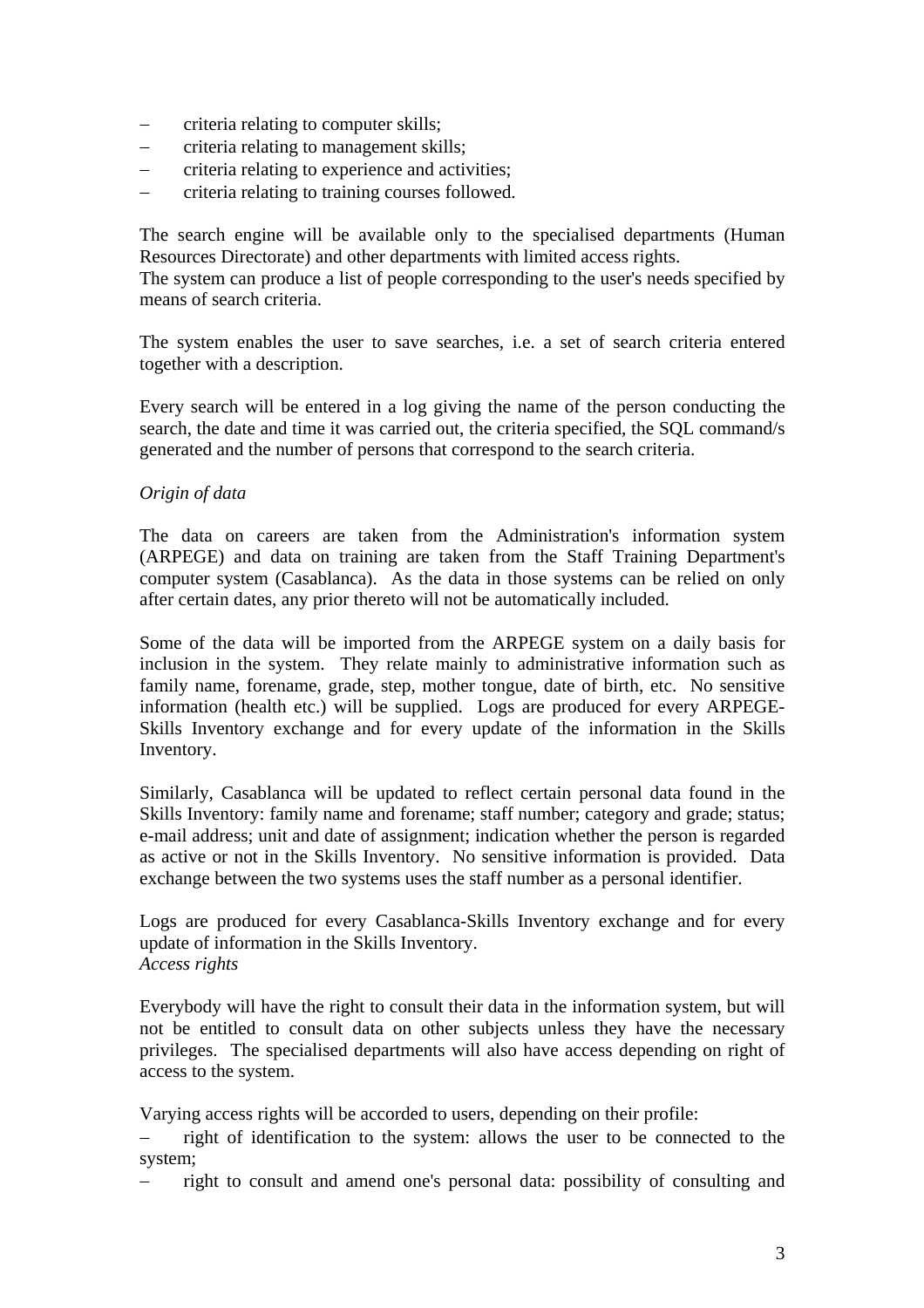- − criteria relating to computer skills;
- − criteria relating to management skills;
- − criteria relating to experience and activities;
- − criteria relating to training courses followed.

The search engine will be available only to the specialised departments (Human Resources Directorate) and other departments with limited access rights.

The system can produce a list of people corresponding to the user's needs specified by means of search criteria.

The system enables the user to save searches, i.e. a set of search criteria entered together with a description.

Every search will be entered in a log giving the name of the person conducting the search, the date and time it was carried out, the criteria specified, the SQL command/s generated and the number of persons that correspond to the search criteria.

### *Origin of data*

The data on careers are taken from the Administration's information system (ARPEGE) and data on training are taken from the Staff Training Department's computer system (Casablanca). As the data in those systems can be relied on only after certain dates, any prior thereto will not be automatically included.

Some of the data will be imported from the ARPEGE system on a daily basis for inclusion in the system. They relate mainly to administrative information such as family name, forename, grade, step, mother tongue, date of birth, etc. No sensitive information (health etc.) will be supplied. Logs are produced for every ARPEGE-Skills Inventory exchange and for every update of the information in the Skills Inventory.

Similarly, Casablanca will be updated to reflect certain personal data found in the Skills Inventory: family name and forename; staff number; category and grade; status; e-mail address; unit and date of assignment; indication whether the person is regarded as active or not in the Skills Inventory. No sensitive information is provided. Data exchange between the two systems uses the staff number as a personal identifier.

Logs are produced for every Casablanca-Skills Inventory exchange and for every update of information in the Skills Inventory. *Access rights*

Everybody will have the right to consult their data in the information system, but will not be entitled to consult data on other subjects unless they have the necessary privileges. The specialised departments will also have access depending on right of access to the system.

Varying access rights will be accorded to users, depending on their profile:

− right of identification to the system: allows the user to be connected to the system;

− right to consult and amend one's personal data: possibility of consulting and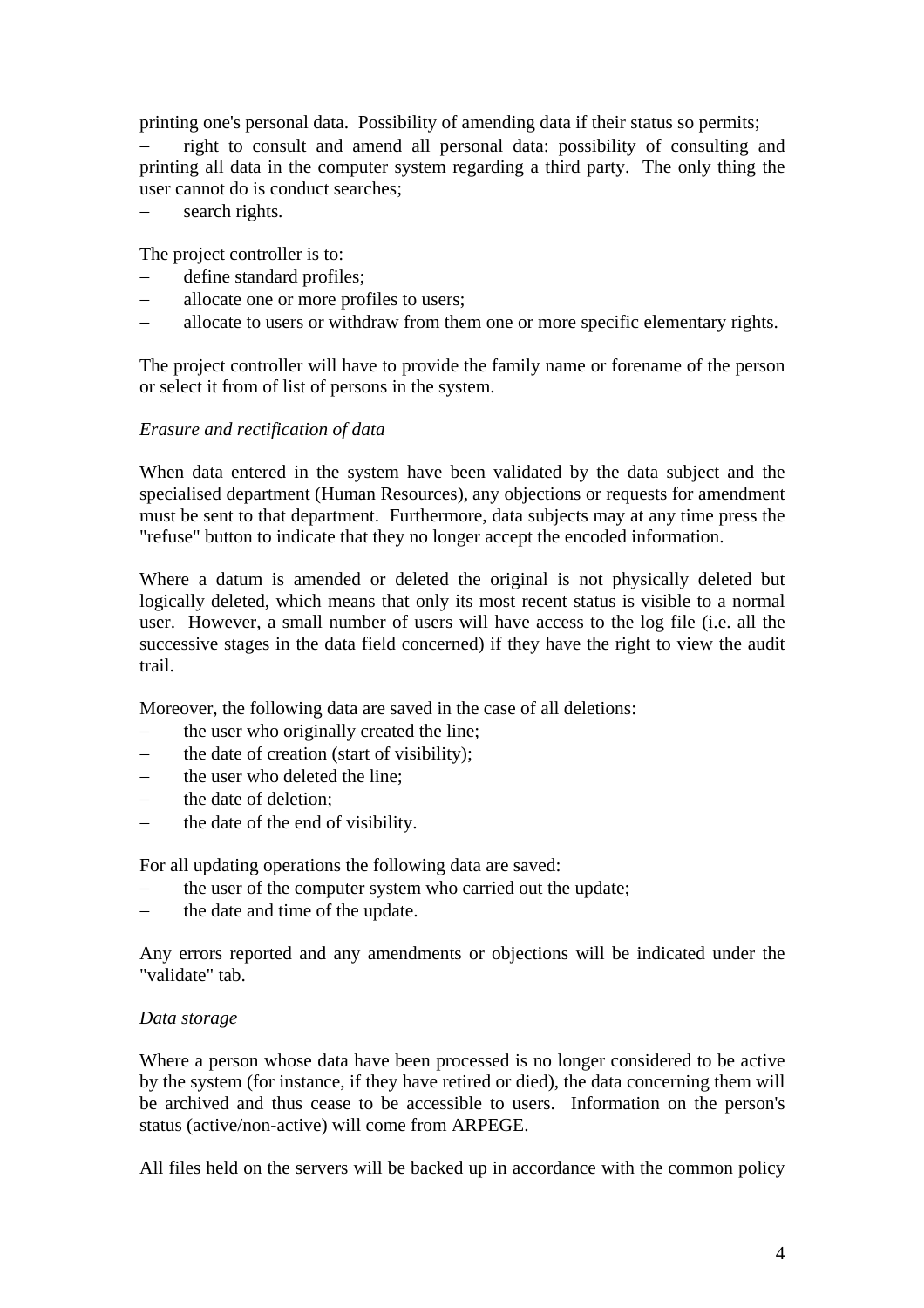printing one's personal data. Possibility of amending data if their status so permits;

− right to consult and amend all personal data: possibility of consulting and printing all data in the computer system regarding a third party. The only thing the user cannot do is conduct searches;

− search rights.

The project controller is to:

- − define standard profiles;
- − allocate one or more profiles to users;
- − allocate to users or withdraw from them one or more specific elementary rights.

The project controller will have to provide the family name or forename of the person or select it from of list of persons in the system.

### *Erasure and rectification of data*

When data entered in the system have been validated by the data subject and the specialised department (Human Resources), any objections or requests for amendment must be sent to that department. Furthermore, data subjects may at any time press the "refuse" button to indicate that they no longer accept the encoded information.

Where a datum is amended or deleted the original is not physically deleted but logically deleted, which means that only its most recent status is visible to a normal user. However, a small number of users will have access to the log file (i.e. all the successive stages in the data field concerned) if they have the right to view the audit trail.

Moreover, the following data are saved in the case of all deletions:

- − the user who originally created the line;
- − the date of creation (start of visibility);
- − the user who deleted the line;
- − the date of deletion;
- − the date of the end of visibility.

For all updating operations the following data are saved:

- − the user of the computer system who carried out the update;
- − the date and time of the update.

Any errors reported and any amendments or objections will be indicated under the "validate" tab.

### *Data storage*

Where a person whose data have been processed is no longer considered to be active by the system (for instance, if they have retired or died), the data concerning them will be archived and thus cease to be accessible to users. Information on the person's status (active/non-active) will come from ARPEGE.

All files held on the servers will be backed up in accordance with the common policy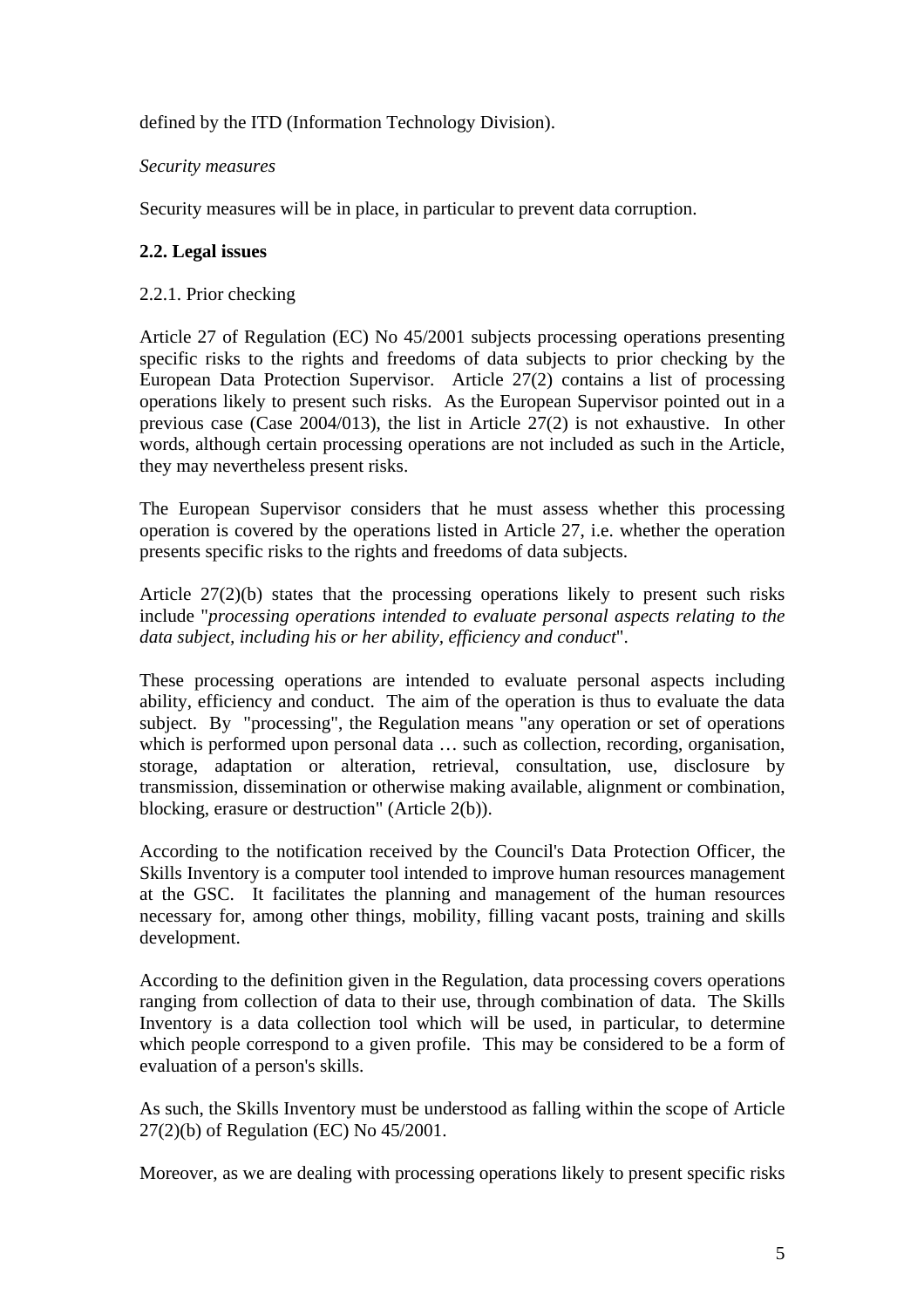defined by the ITD (Information Technology Division).

## *Security measures*

Security measures will be in place, in particular to prevent data corruption.

## **2.2. Legal issues**

### 2.2.1. Prior checking

Article 27 of Regulation (EC) No 45/2001 subjects processing operations presenting specific risks to the rights and freedoms of data subjects to prior checking by the European Data Protection Supervisor. Article 27(2) contains a list of processing operations likely to present such risks. As the European Supervisor pointed out in a previous case (Case 2004/013), the list in Article 27(2) is not exhaustive. In other words, although certain processing operations are not included as such in the Article, they may nevertheless present risks.

The European Supervisor considers that he must assess whether this processing operation is covered by the operations listed in Article 27, i.e. whether the operation presents specific risks to the rights and freedoms of data subjects.

Article 27(2)(b) states that the processing operations likely to present such risks include "*processing operations intended to evaluate personal aspects relating to the data subject, including his or her ability, efficiency and conduct*".

These processing operations are intended to evaluate personal aspects including ability, efficiency and conduct. The aim of the operation is thus to evaluate the data subject. By "processing", the Regulation means "any operation or set of operations which is performed upon personal data ... such as collection, recording, organisation, storage, adaptation or alteration, retrieval, consultation, use, disclosure by transmission, dissemination or otherwise making available, alignment or combination, blocking, erasure or destruction" (Article 2(b)).

According to the notification received by the Council's Data Protection Officer, the Skills Inventory is a computer tool intended to improve human resources management at the GSC. It facilitates the planning and management of the human resources necessary for, among other things, mobility, filling vacant posts, training and skills development.

According to the definition given in the Regulation, data processing covers operations ranging from collection of data to their use, through combination of data. The Skills Inventory is a data collection tool which will be used, in particular, to determine which people correspond to a given profile. This may be considered to be a form of evaluation of a person's skills.

As such, the Skills Inventory must be understood as falling within the scope of Article 27(2)(b) of Regulation (EC) No 45/2001.

Moreover, as we are dealing with processing operations likely to present specific risks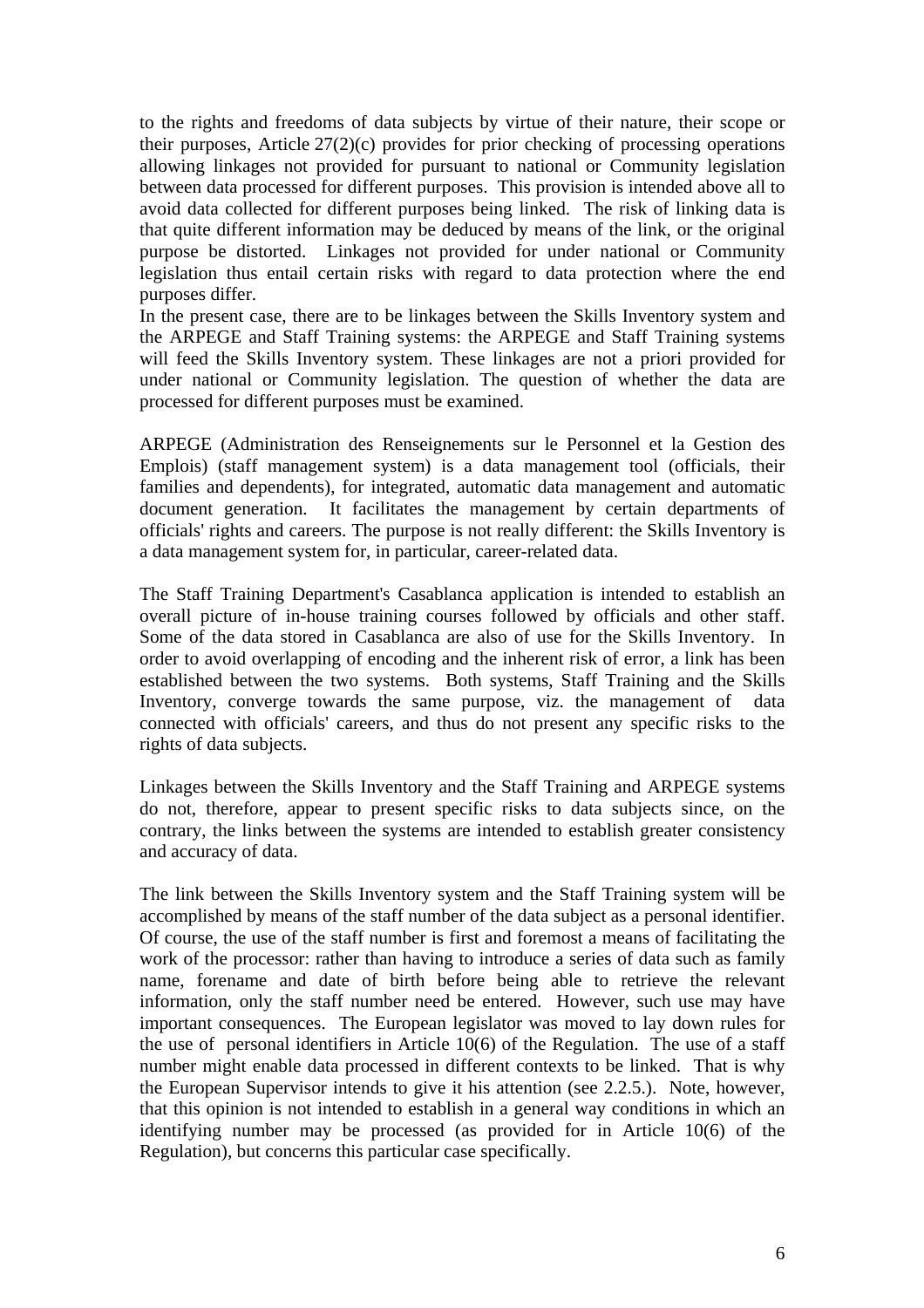to the rights and freedoms of data subjects by virtue of their nature, their scope or their purposes, Article 27(2)(c) provides for prior checking of processing operations allowing linkages not provided for pursuant to national or Community legislation between data processed for different purposes. This provision is intended above all to avoid data collected for different purposes being linked. The risk of linking data is that quite different information may be deduced by means of the link, or the original purpose be distorted. Linkages not provided for under national or Community legislation thus entail certain risks with regard to data protection where the end purposes differ.

In the present case, there are to be linkages between the Skills Inventory system and the ARPEGE and Staff Training systems: the ARPEGE and Staff Training systems will feed the Skills Inventory system. These linkages are not a priori provided for under national or Community legislation. The question of whether the data are processed for different purposes must be examined.

ARPEGE (Administration des Renseignements sur le Personnel et la Gestion des Emplois) (staff management system) is a data management tool (officials, their families and dependents), for integrated, automatic data management and automatic document generation. It facilitates the management by certain departments of officials' rights and careers. The purpose is not really different: the Skills Inventory is a data management system for, in particular, career-related data.

The Staff Training Department's Casablanca application is intended to establish an overall picture of in-house training courses followed by officials and other staff. Some of the data stored in Casablanca are also of use for the Skills Inventory. In order to avoid overlapping of encoding and the inherent risk of error, a link has been established between the two systems. Both systems, Staff Training and the Skills Inventory, converge towards the same purpose, viz. the management of data connected with officials' careers, and thus do not present any specific risks to the rights of data subjects.

Linkages between the Skills Inventory and the Staff Training and ARPEGE systems do not, therefore, appear to present specific risks to data subjects since, on the contrary, the links between the systems are intended to establish greater consistency and accuracy of data.

The link between the Skills Inventory system and the Staff Training system will be accomplished by means of the staff number of the data subject as a personal identifier. Of course, the use of the staff number is first and foremost a means of facilitating the work of the processor: rather than having to introduce a series of data such as family name, forename and date of birth before being able to retrieve the relevant information, only the staff number need be entered. However, such use may have important consequences. The European legislator was moved to lay down rules for the use of personal identifiers in Article 10(6) of the Regulation. The use of a staff number might enable data processed in different contexts to be linked. That is why the European Supervisor intends to give it his attention (see 2.2.5.). Note, however, that this opinion is not intended to establish in a general way conditions in which an identifying number may be processed (as provided for in Article 10(6) of the Regulation), but concerns this particular case specifically.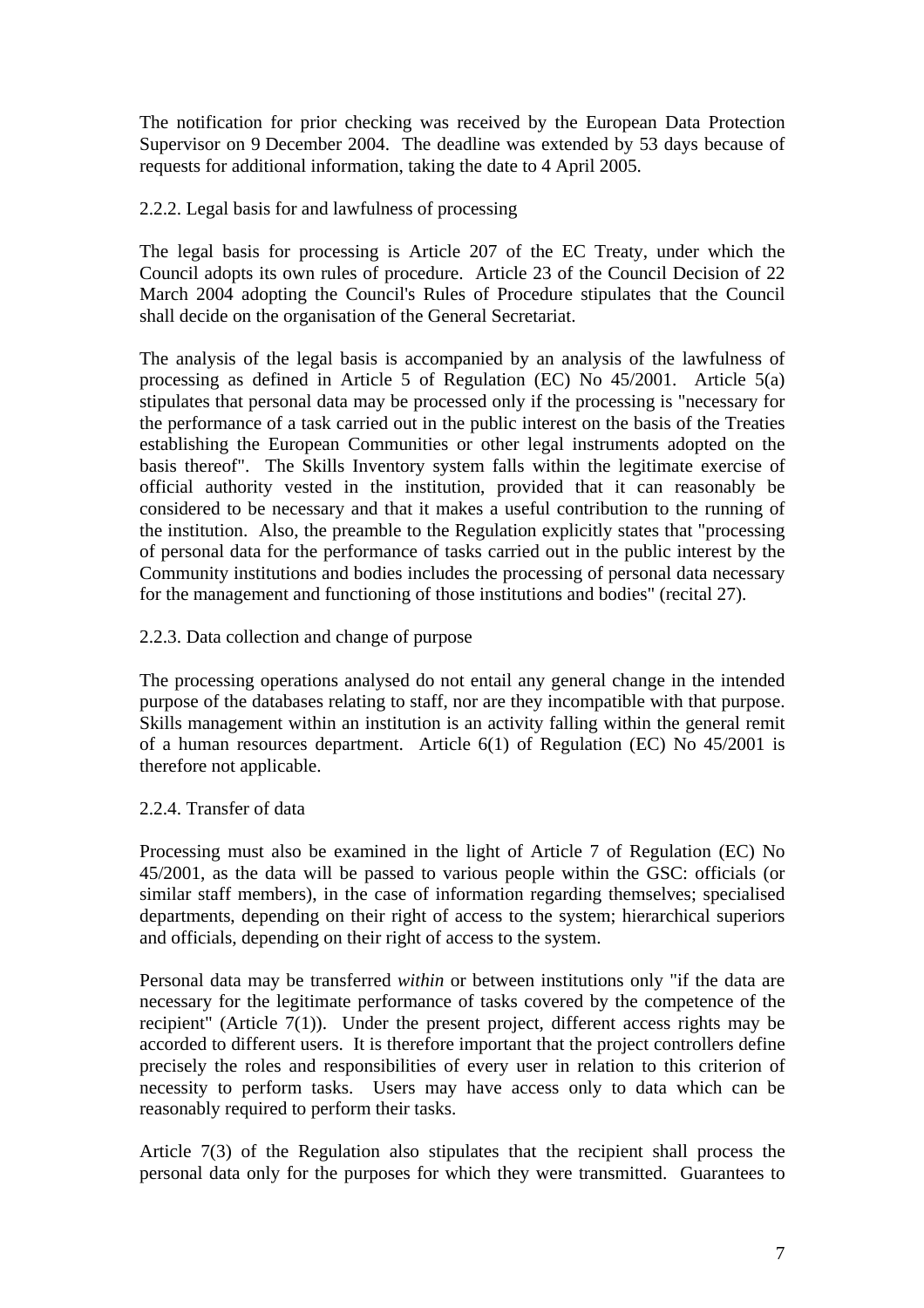The notification for prior checking was received by the European Data Protection Supervisor on 9 December 2004. The deadline was extended by 53 days because of requests for additional information, taking the date to 4 April 2005.

## 2.2.2. Legal basis for and lawfulness of processing

The legal basis for processing is Article 207 of the EC Treaty, under which the Council adopts its own rules of procedure. Article 23 of the Council Decision of 22 March 2004 adopting the Council's Rules of Procedure stipulates that the Council shall decide on the organisation of the General Secretariat.

The analysis of the legal basis is accompanied by an analysis of the lawfulness of processing as defined in Article 5 of Regulation (EC) No 45/2001. Article 5(a) stipulates that personal data may be processed only if the processing is "necessary for the performance of a task carried out in the public interest on the basis of the Treaties establishing the European Communities or other legal instruments adopted on the basis thereof". The Skills Inventory system falls within the legitimate exercise of official authority vested in the institution, provided that it can reasonably be considered to be necessary and that it makes a useful contribution to the running of the institution. Also, the preamble to the Regulation explicitly states that "processing of personal data for the performance of tasks carried out in the public interest by the Community institutions and bodies includes the processing of personal data necessary for the management and functioning of those institutions and bodies" (recital 27).

### 2.2.3. Data collection and change of purpose

The processing operations analysed do not entail any general change in the intended purpose of the databases relating to staff, nor are they incompatible with that purpose. Skills management within an institution is an activity falling within the general remit of a human resources department. Article 6(1) of Regulation (EC) No 45/2001 is therefore not applicable.

### 2.2.4. Transfer of data

Processing must also be examined in the light of Article 7 of Regulation (EC) No 45/2001, as the data will be passed to various people within the GSC: officials (or similar staff members), in the case of information regarding themselves; specialised departments, depending on their right of access to the system; hierarchical superiors and officials, depending on their right of access to the system.

Personal data may be transferred *within* or between institutions only "if the data are necessary for the legitimate performance of tasks covered by the competence of the recipient" (Article 7(1)). Under the present project, different access rights may be accorded to different users. It is therefore important that the project controllers define precisely the roles and responsibilities of every user in relation to this criterion of necessity to perform tasks. Users may have access only to data which can be reasonably required to perform their tasks.

Article 7(3) of the Regulation also stipulates that the recipient shall process the personal data only for the purposes for which they were transmitted. Guarantees to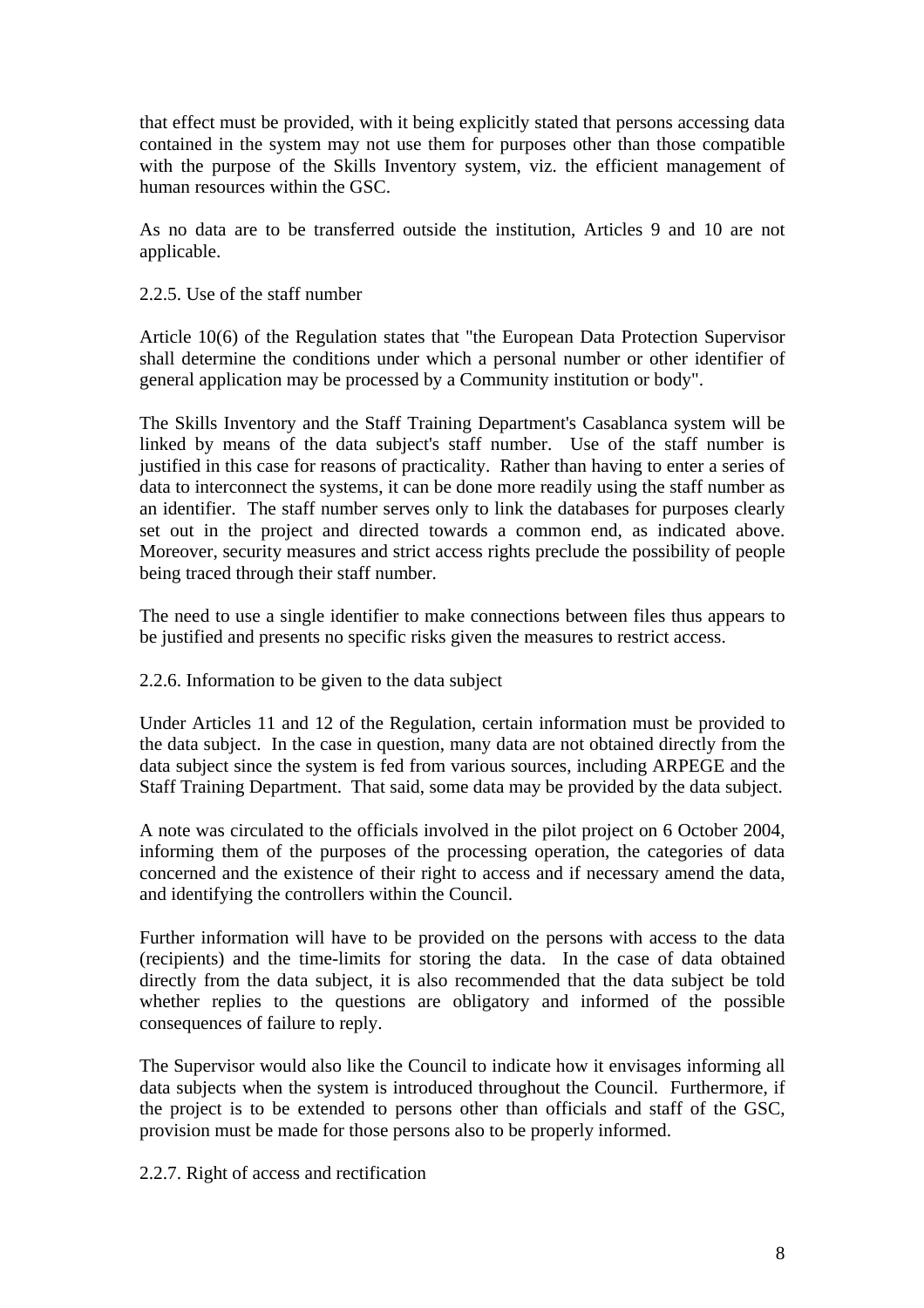that effect must be provided, with it being explicitly stated that persons accessing data contained in the system may not use them for purposes other than those compatible with the purpose of the Skills Inventory system, viz. the efficient management of human resources within the GSC.

As no data are to be transferred outside the institution, Articles 9 and 10 are not applicable.

### 2.2.5. Use of the staff number

Article 10(6) of the Regulation states that "the European Data Protection Supervisor shall determine the conditions under which a personal number or other identifier of general application may be processed by a Community institution or body".

The Skills Inventory and the Staff Training Department's Casablanca system will be linked by means of the data subject's staff number. Use of the staff number is justified in this case for reasons of practicality. Rather than having to enter a series of data to interconnect the systems, it can be done more readily using the staff number as an identifier. The staff number serves only to link the databases for purposes clearly set out in the project and directed towards a common end, as indicated above. Moreover, security measures and strict access rights preclude the possibility of people being traced through their staff number.

The need to use a single identifier to make connections between files thus appears to be justified and presents no specific risks given the measures to restrict access.

2.2.6. Information to be given to the data subject

Under Articles 11 and 12 of the Regulation, certain information must be provided to the data subject. In the case in question, many data are not obtained directly from the data subject since the system is fed from various sources, including ARPEGE and the Staff Training Department. That said, some data may be provided by the data subject.

A note was circulated to the officials involved in the pilot project on 6 October 2004, informing them of the purposes of the processing operation, the categories of data concerned and the existence of their right to access and if necessary amend the data, and identifying the controllers within the Council.

Further information will have to be provided on the persons with access to the data (recipients) and the time-limits for storing the data. In the case of data obtained directly from the data subject, it is also recommended that the data subject be told whether replies to the questions are obligatory and informed of the possible consequences of failure to reply.

The Supervisor would also like the Council to indicate how it envisages informing all data subjects when the system is introduced throughout the Council. Furthermore, if the project is to be extended to persons other than officials and staff of the GSC, provision must be made for those persons also to be properly informed.

2.2.7. Right of access and rectification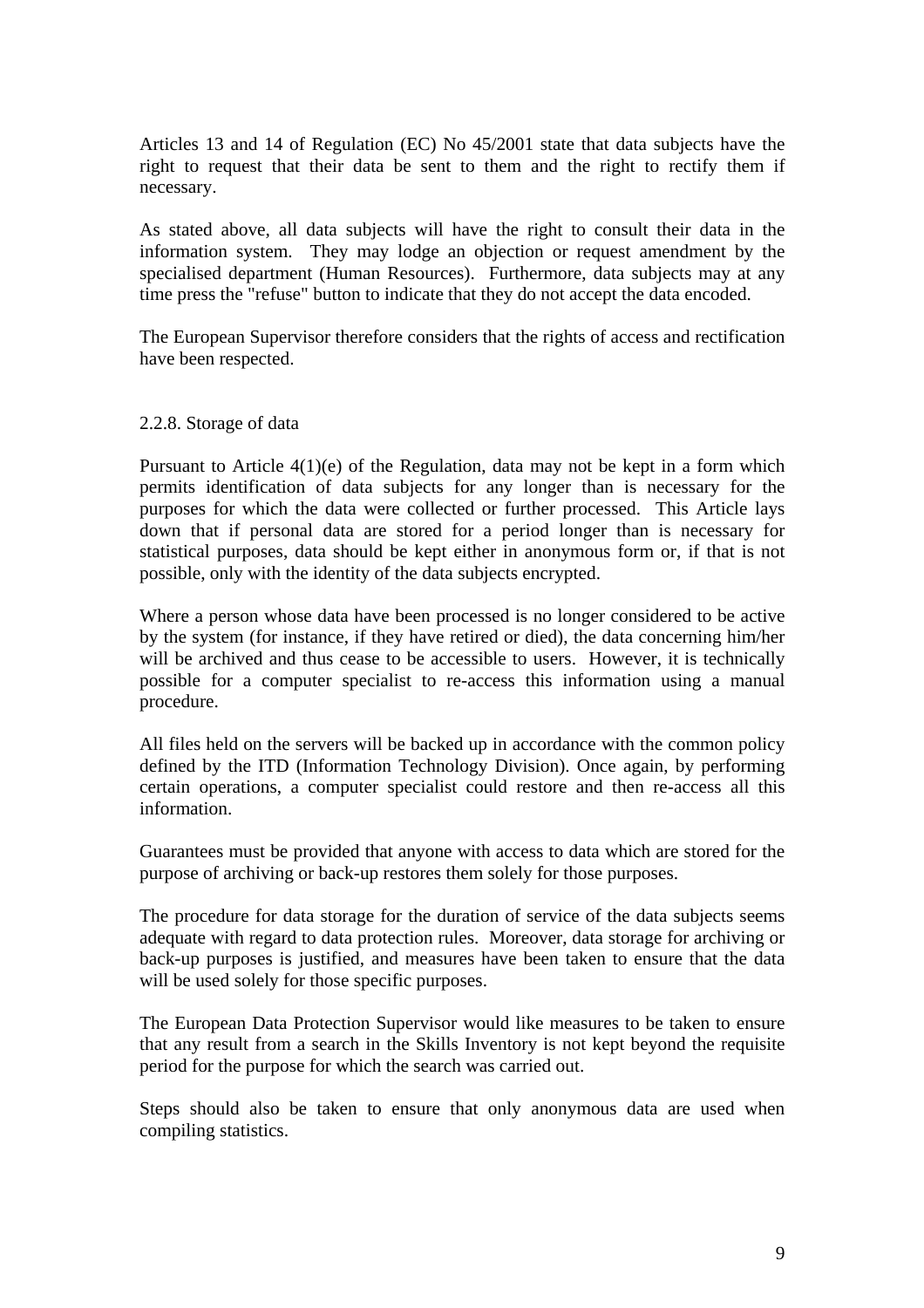Articles 13 and 14 of Regulation (EC) No 45/2001 state that data subjects have the right to request that their data be sent to them and the right to rectify them if necessary.

As stated above, all data subjects will have the right to consult their data in the information system. They may lodge an objection or request amendment by the specialised department (Human Resources). Furthermore, data subjects may at any time press the "refuse" button to indicate that they do not accept the data encoded.

The European Supervisor therefore considers that the rights of access and rectification have been respected.

#### 2.2.8. Storage of data

Pursuant to Article 4(1)(e) of the Regulation, data may not be kept in a form which permits identification of data subjects for any longer than is necessary for the purposes for which the data were collected or further processed. This Article lays down that if personal data are stored for a period longer than is necessary for statistical purposes, data should be kept either in anonymous form or, if that is not possible, only with the identity of the data subjects encrypted.

Where a person whose data have been processed is no longer considered to be active by the system (for instance, if they have retired or died), the data concerning him/her will be archived and thus cease to be accessible to users. However, it is technically possible for a computer specialist to re-access this information using a manual procedure.

All files held on the servers will be backed up in accordance with the common policy defined by the ITD (Information Technology Division). Once again, by performing certain operations, a computer specialist could restore and then re-access all this information.

Guarantees must be provided that anyone with access to data which are stored for the purpose of archiving or back-up restores them solely for those purposes.

The procedure for data storage for the duration of service of the data subjects seems adequate with regard to data protection rules. Moreover, data storage for archiving or back-up purposes is justified, and measures have been taken to ensure that the data will be used solely for those specific purposes.

The European Data Protection Supervisor would like measures to be taken to ensure that any result from a search in the Skills Inventory is not kept beyond the requisite period for the purpose for which the search was carried out.

Steps should also be taken to ensure that only anonymous data are used when compiling statistics.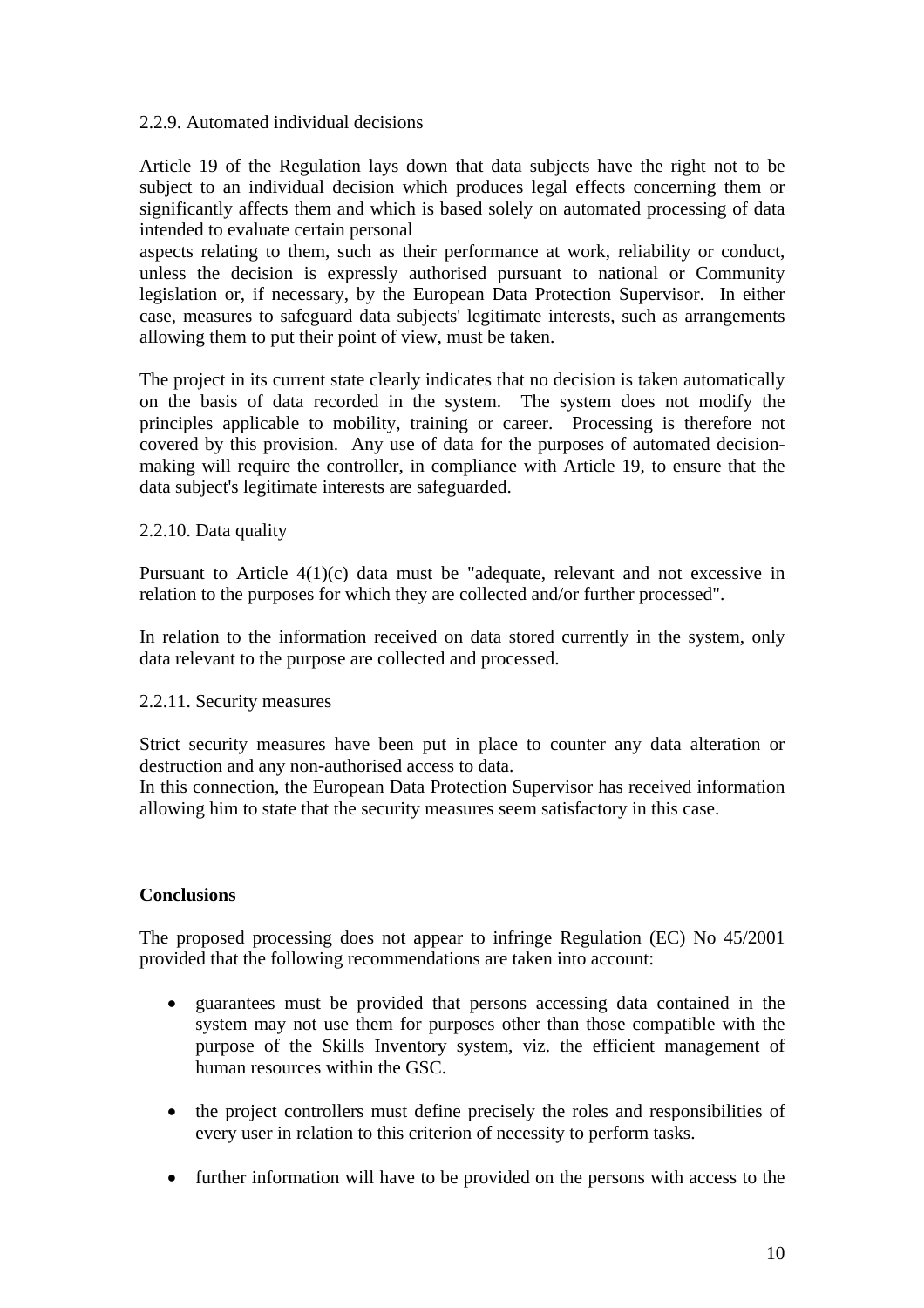### 2.2.9. Automated individual decisions

Article 19 of the Regulation lays down that data subjects have the right not to be subject to an individual decision which produces legal effects concerning them or significantly affects them and which is based solely on automated processing of data intended to evaluate certain personal

aspects relating to them, such as their performance at work, reliability or conduct, unless the decision is expressly authorised pursuant to national or Community legislation or, if necessary, by the European Data Protection Supervisor. In either case, measures to safeguard data subjects' legitimate interests, such as arrangements allowing them to put their point of view, must be taken.

The project in its current state clearly indicates that no decision is taken automatically on the basis of data recorded in the system. The system does not modify the principles applicable to mobility, training or career. Processing is therefore not covered by this provision. Any use of data for the purposes of automated decisionmaking will require the controller, in compliance with Article 19, to ensure that the data subject's legitimate interests are safeguarded.

### 2.2.10. Data quality

Pursuant to Article 4(1)(c) data must be "adequate, relevant and not excessive in relation to the purposes for which they are collected and/or further processed".

In relation to the information received on data stored currently in the system, only data relevant to the purpose are collected and processed.

## 2.2.11. Security measures

Strict security measures have been put in place to counter any data alteration or destruction and any non-authorised access to data.

In this connection, the European Data Protection Supervisor has received information allowing him to state that the security measures seem satisfactory in this case.

## **Conclusions**

The proposed processing does not appear to infringe Regulation (EC) No 45/2001 provided that the following recommendations are taken into account:

- guarantees must be provided that persons accessing data contained in the system may not use them for purposes other than those compatible with the purpose of the Skills Inventory system, viz. the efficient management of human resources within the GSC.
- the project controllers must define precisely the roles and responsibilities of every user in relation to this criterion of necessity to perform tasks.
- further information will have to be provided on the persons with access to the